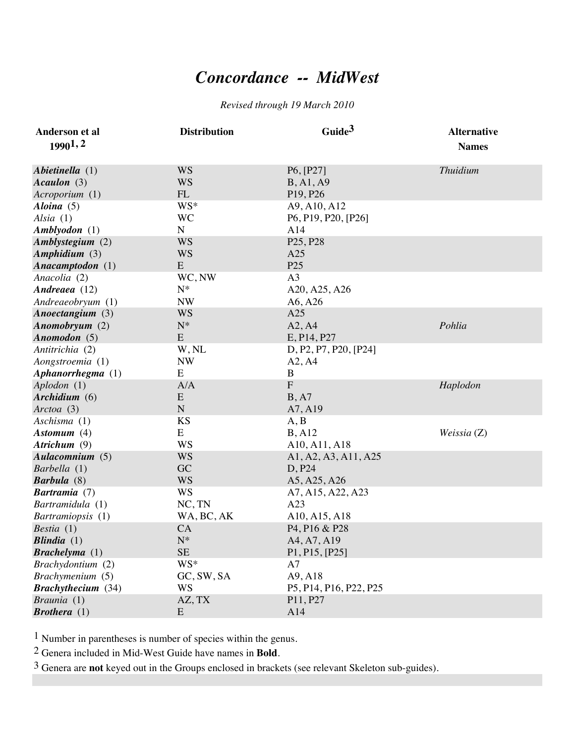## *Concordance -- MidWest*

## *Revised through 19 March 2010*

| Anderson et al            | <b>Distribution</b> | Guide <sup>3</sup>                                 | <b>Alternative</b> |
|---------------------------|---------------------|----------------------------------------------------|--------------------|
| 19901,2                   |                     |                                                    | <b>Names</b>       |
| Abietinella (1)           | <b>WS</b>           | P6, [P27]                                          | <b>Thuidium</b>    |
| Acaulon (3)               | <b>WS</b>           | <b>B</b> , A <sub>1</sub> , A <sub>9</sub>         |                    |
| Acroporium (1)            | FL                  | P <sub>19</sub> , P <sub>26</sub>                  |                    |
| Aloina $(5)$              | WS*                 | A9, A10, A12                                       |                    |
| Alsia $(1)$               | <b>WC</b>           | P6, P19, P20, [P26]                                |                    |
| Amblyodon (1)             | ${\bf N}$           | A14                                                |                    |
| Amblystegium (2)          | <b>WS</b>           | P <sub>25</sub> , P <sub>28</sub>                  |                    |
| Amphidium (3)             | <b>WS</b>           | A25                                                |                    |
| Anacamptodon (1)          | E                   | P <sub>25</sub>                                    |                    |
| Anacolia (2)              | WC, NW              | A <sub>3</sub>                                     |                    |
| Andreaea (12)             | $N^*$               | A20, A25, A26                                      |                    |
| Andreaeobryum (1)         | <b>NW</b>           | A6, A26                                            |                    |
| Anoectangium (3)          | <b>WS</b>           | A25                                                |                    |
| Anomobryum (2)            | ${\rm N^*}$         | A2, A4                                             | Pohlia             |
| Anomodon $(5)$            | E                   | E, P14, P27                                        |                    |
| Antitrichia (2)           | W, NL               | D, P2, P7, P20, [P24]                              |                    |
| Aongstroemia (1)          | <b>NW</b>           | A2, A4                                             |                    |
| Aphanorrhegma (1)         | E                   | $\, {\bf B}$                                       |                    |
| Aplodon (1)               | A/A                 | $\overline{F}$                                     | Haplodon           |
| Archidium (6)             | E                   | B, A7                                              |                    |
| Arctoa (3)                | $\mathbf N$         | A7, A19                                            |                    |
| Aschisma (1)              | <b>KS</b>           | A, B                                               |                    |
| Astomum $(4)$             | E                   | B, A12                                             | Weissia $(Z)$      |
| Atrichum (9)              | <b>WS</b>           | A10, A11, A18                                      |                    |
| Aulacomnium (5)           | <b>WS</b>           | A1, A2, A3, A11, A25                               |                    |
| Barbella (1)              | GC                  | D, P24                                             |                    |
| Barbula (8)               | <b>WS</b>           | A5, A25, A26                                       |                    |
| <b>Bartramia</b> (7)      | <b>WS</b>           | A7, A15, A22, A23                                  |                    |
| Bartramidula (1)          | NC, TN              | A23                                                |                    |
| Bartramiopsis (1)         | WA, BC, AK          | A10, A15, A18                                      |                    |
| Bestia $(1)$              | CA                  | P <sub>4</sub> , P <sub>16</sub> & P <sub>28</sub> |                    |
| Blindia $(1)$             | ${\bf N}^*$         | A4, A7, A19                                        |                    |
| Brachelyma(1)             | <b>SE</b>           | P1, P15, [P25]                                     |                    |
| Brachydontium (2)         | WS*                 | A7                                                 |                    |
| Brachymenium (5)          | GC, SW, SA          | A9, A18                                            |                    |
| <b>Brachythecium</b> (34) | WS                  | P5, P14, P16, P22, P25                             |                    |
| Braunia (1)               | AZ, TX              | P11, P27                                           |                    |
| <b>Brothera</b> $(1)$     | E                   | A14                                                |                    |

1 Number in parentheses is number of species within the genus.

2 Genera included in Mid-West Guide have names in **Bold**.

3 Genera are **not** keyed out in the Groups enclosed in brackets (see relevant Skeleton sub-guides).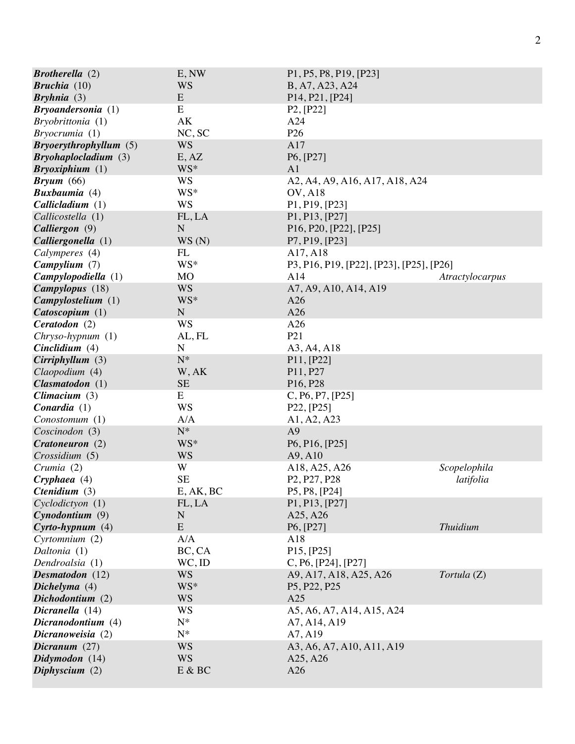| <b>Brotherella</b> $(2)$     | E, NW       | P1, P5, P8, P19, [P23]                                                     |                 |
|------------------------------|-------------|----------------------------------------------------------------------------|-----------------|
| <b>Bruchia</b> $(10)$        | WS          | B, A7, A23, A24                                                            |                 |
| Bryhnia <sup>(3)</sup>       | E           | P <sub>14</sub> , P <sub>21</sub> , [P <sub>24</sub> ]                     |                 |
| <b>Bryoandersonia</b> (1)    | E           | P2, [P22]                                                                  |                 |
| Bryobrittonia (1)            | AK          | A24                                                                        |                 |
| Bryocrumia(1)                | NC, SC      | P <sub>26</sub>                                                            |                 |
| Bryoery through y llum(5)    | <b>WS</b>   | A17                                                                        |                 |
| Bryohaplocladium(3)          | E, AZ       | P6, [P27]                                                                  |                 |
| Bryoxiphium (1)              | WS*         | A <sub>1</sub>                                                             |                 |
| $Bryum$ (66)                 | <b>WS</b>   | A2, A4, A9, A16, A17, A18, A24                                             |                 |
| <b>Buxbaumia</b> (4)         | WS*         | <b>OV, A18</b>                                                             |                 |
| Callicalium(1)               | <b>WS</b>   | P1, P19, [P23]                                                             |                 |
| Callicostella (1)            | FL, LA      | P1, P13, [P27]                                                             |                 |
| Calliergon (9)               | $\mathbf N$ | P <sub>16</sub> , P <sub>20</sub> , [P <sub>22</sub> ], [P <sub>25</sub> ] |                 |
| Calliergonella (1)           | WS(N)       | P7, P19, [P23]                                                             |                 |
| Calymperes (4)               | FL          | A17, A18                                                                   |                 |
| Campylium (7)                | WS*         | P3, P16, P19, [P22], [P23], [P25], [P26]                                   |                 |
| Campylopodiella (1)          | <b>MO</b>   | A14                                                                        | Atractylocarpus |
| Campylopus (18)              | <b>WS</b>   | A7, A9, A10, A14, A19                                                      |                 |
| Campy lostelium (1)          | WS*         | A26                                                                        |                 |
| Catoscopium (1)              | ${\bf N}$   | A26                                                                        |                 |
| Ceratodon (2)                | <b>WS</b>   | A26                                                                        |                 |
| Chryso-hypnum (1)            | AL, FL      | P <sub>21</sub>                                                            |                 |
| Cinclidium $(4)$             | ${\bf N}$   | A3, A4, A18                                                                |                 |
| Cirriphyllum(3)              | ${\bf N}^*$ | P11, [P22]                                                                 |                 |
| Claopodium (4)               | W, AK       | P11, P27                                                                   |                 |
| $\mathit{Clasmatodon}$ (1)   | <b>SE</b>   | P <sub>16</sub> , P <sub>28</sub>                                          |                 |
| Climacium $(3)$              | E           | C, P6, P7, [P25]                                                           |                 |
| Conardia(1)                  | <b>WS</b>   | P22, [P25]                                                                 |                 |
| Conostomum (1)               | A/A         | A1, A2, A23                                                                |                 |
| Coscinodon (3)               | $N^*$       | A <sub>9</sub>                                                             |                 |
| Cratoneuron (2)              | WS*         | P6, P16, [P25]                                                             |                 |
| Crossidium (5)               | <b>WS</b>   | A9, A10                                                                    |                 |
| Crumia (2)                   | W           | A18, A25, A26                                                              | Scopelophila    |
| $C$ ryphaea $(4)$            | <b>SE</b>   | P <sub>2</sub> , P <sub>27</sub> , P <sub>28</sub>                         | latifolia       |
| <i>Ctenidium</i> $(3)$       | E, AK, BC   | P5, P8, [P24]                                                              |                 |
| Cyclodictyon (1)             | FL, LA      | P1, P13, [P27]                                                             |                 |
| Cynodontium(9)               | N           | A25, A26                                                                   |                 |
| $C$ <i>yrto-hypnum</i> $(4)$ | ${\bf E}$   | P6, [P27]                                                                  | <b>Thuidium</b> |
| Cyrtomnium (2)               | A/A         | A18                                                                        |                 |
| Daltonia (1)                 | BC, CA      | P15, [P25]                                                                 |                 |
| Dendroalsia (1)              | $WC$ , ID   | C, P6, [P24], [P27]                                                        |                 |
| Desmatodon (12)              | <b>WS</b>   | A9, A17, A18, A25, A26                                                     | Tortula (Z)     |
| Dichelyma (4)                | WS*         | P <sub>5</sub> , P <sub>22</sub> , P <sub>25</sub>                         |                 |
| Dichodontium (2)             | <b>WS</b>   | A25                                                                        |                 |
| Dicranella (14)              | <b>WS</b>   | A5, A6, A7, A14, A15, A24                                                  |                 |
| Dicranodontium (4)           | $N^*$       | A7, A14, A19                                                               |                 |
| Dicranoweisia (2)            | $N^*$       | A7, A19                                                                    |                 |
| Dicranum $(27)$              | <b>WS</b>   | A3, A6, A7, A10, A11, A19                                                  |                 |
| Didymodon (14)               | <b>WS</b>   | A <sub>25</sub> , A <sub>26</sub>                                          |                 |
| Diphyscium $(2)$             | E & BC      | A26                                                                        |                 |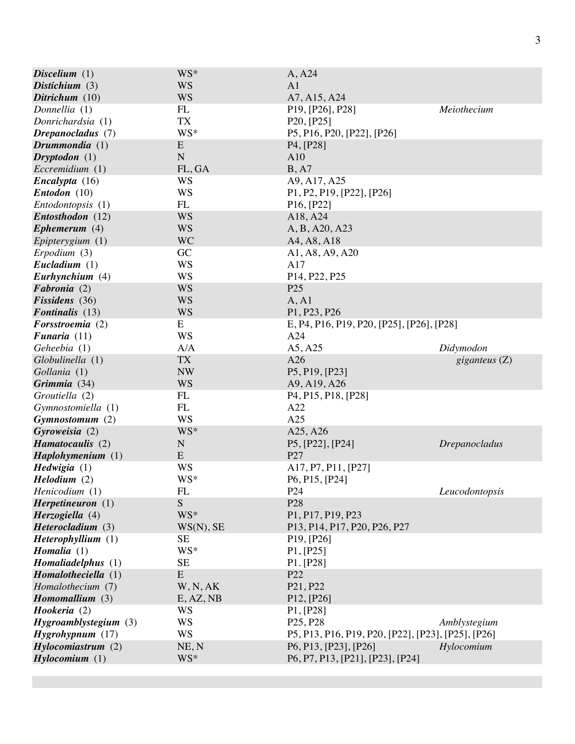| Discelium $(1)$            | WS*         | A, A24                                                                  |                      |
|----------------------------|-------------|-------------------------------------------------------------------------|----------------------|
| Distichium $(3)$           | <b>WS</b>   | A <sub>1</sub>                                                          |                      |
| Ditrichum $(10)$           | <b>WS</b>   | A7, A15, A24                                                            |                      |
| Donnellia (1)              | FL          | P <sub>19</sub> , [P <sub>26</sub> ], P <sub>28</sub> ]                 | Meiothecium          |
| Donrichardsia (1)          | <b>TX</b>   | P20, [P25]                                                              |                      |
| Drepanocladus (7)          | WS*         | P5, P16, P20, [P22], [P26]                                              |                      |
| Drummondia $(1)$           | E           | P <sub>4</sub> , [P <sub>28</sub> ]                                     |                      |
| $Dryptodon (1)$            | ${\bf N}$   | A10                                                                     |                      |
| Eccremidium (1)            | FL, GA      | B, A7                                                                   |                      |
| Encalypta(16)              | WS          | A9, A17, A25                                                            |                      |
| Entodon (10)               | <b>WS</b>   | P1, P2, P19, [P22], [P26]                                               |                      |
| <i>Entodontopsis</i> (1)   | FL          | P16, [P22]                                                              |                      |
| Entosthodon (12)           | <b>WS</b>   | A18, A24                                                                |                      |
| Ephemerum $(4)$            | <b>WS</b>   | A, B, A20, A23                                                          |                      |
| Epipterygium $(1)$         | <b>WC</b>   | A4, A8, A18                                                             |                      |
| $E_{r}$ podium $(3)$       | GC          | A1, A8, A9, A20                                                         |                      |
| Eucladium $(1)$            | WS          | A17                                                                     |                      |
| Eurhynchium (4)            | WS          | P14, P22, P25                                                           |                      |
| Fabronia (2)               | <b>WS</b>   | P <sub>25</sub>                                                         |                      |
| Fissidens (36)             | <b>WS</b>   | A, A1                                                                   |                      |
| <b>Fontinalis</b> (13)     | <b>WS</b>   | P1, P23, P26                                                            |                      |
| Forsstroemia (2)           | E           | E, P4, P16, P19, P20, [P25], [P26], [P28]                               |                      |
| Funaria $(11)$             | <b>WS</b>   | A24                                                                     |                      |
| Geheebia (1)               | A/A         | A5, A25                                                                 | Didymodon            |
| Globulinella (1)           | <b>TX</b>   | A26                                                                     | giganteus $(Z)$      |
| Gollania (1)               | <b>NW</b>   | P5, P19, [P23]                                                          |                      |
| Grimmia (34)               | <b>WS</b>   | A9, A19, A26                                                            |                      |
| Groutiella (2)             | FL          | P <sub>4</sub> , P <sub>15</sub> , P <sub>18</sub> , [P <sub>28</sub> ] |                      |
| Gymnostomiella (1)         | FL          | A22                                                                     |                      |
| Gymnostomum (2)            | <b>WS</b>   | A25                                                                     |                      |
| Gyroweisia (2)             | WS*         | A25, A26                                                                |                      |
| Hamatocaulis (2)           | $\mathbf N$ | P5, [P22], [P24]                                                        | <b>Drepanocladus</b> |
| Haplohymenium (1)          | E           | P27                                                                     |                      |
| Hedwigia (1)               | WS          | A17, P7, P11, [P27]                                                     |                      |
| Helodium (2)               | WS*         | P6, P15, [P24]                                                          |                      |
| Henicodium (1)             | FL          | P <sub>24</sub>                                                         | Leucodontopsis       |
| Herpetineuron(1)           | ${\bf S}$   | P <sub>28</sub>                                                         |                      |
| Herzogiella (4)            | WS*         | P1, P17, P19, P23                                                       |                      |
| Heterocladium (3)          | WS(N), SE   | P13, P14, P17, P20, P26, P27                                            |                      |
| Heterophyllium (1)         | <b>SE</b>   | P19, [P26]                                                              |                      |
| Homalia $(1)$              | WS*         | P1, [P25]                                                               |                      |
| Homaliadelphus (1)         | <b>SE</b>   | P1. [P28]                                                               |                      |
| Homalotheciella (1)        | ${\bf E}$   | P22                                                                     |                      |
| Homalothecium (7)          | W, N, AK    | P21, P22                                                                |                      |
| <b>Homomallium</b> (3)     | E, AZ, NB   | P12, [P26]                                                              |                      |
| Hookeria (2)               | WS          | P1, [P28]                                                               |                      |
| $Hy$ groamblystegium $(3)$ | <b>WS</b>   | P <sub>25</sub> , P <sub>28</sub>                                       | Amblystegium         |
| $Hy$ grohypnum $(17)$      | <b>WS</b>   | P5, P13, P16, P19, P20, [P22], [P23], [P25], [P26]                      |                      |
| Hylocomiastrum(2)          | NE, N       | P6, P13, [P23], [P26]                                                   | Hylocomium           |
| Hylocomium (1)             | WS*         | P6, P7, P13, [P21], [P23], [P24]                                        |                      |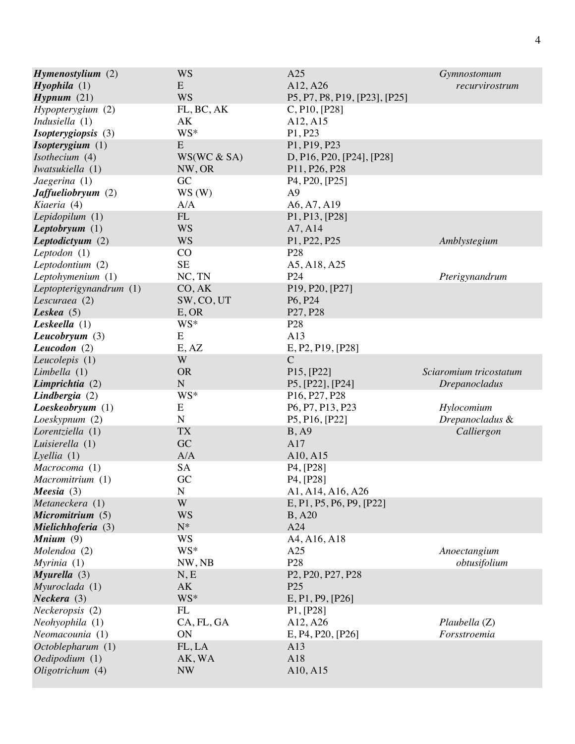| $H$ <i>ymenostylium</i> $(2)$<br>Hyophila(1)<br>Hypnum(21) | <b>WS</b><br>E<br><b>WS</b>   | A25<br>A12, A26<br>P5, P7, P8, P19, [P23], [P25]                                          | <i>Gymnostomum</i><br>recurvirostrum           |
|------------------------------------------------------------|-------------------------------|-------------------------------------------------------------------------------------------|------------------------------------------------|
| Hypopterygium (2)                                          | FL, BC, AK                    | C, P10, [P28]                                                                             |                                                |
| Indusiella $(1)$                                           | АK                            | A12, A15                                                                                  |                                                |
| Isopterygiopsis (3)                                        | WS*                           | P1, P23                                                                                   |                                                |
| Isopterygium (1)                                           | E                             | P1, P19, P23                                                                              |                                                |
| Isothecium (4)                                             | WS(WC & SA)                   | D, P16, P20, [P24], [P28]                                                                 |                                                |
| Iwatsukiella (1)                                           | NW, OR                        | P11, P26, P28                                                                             |                                                |
| Jaegerina (1)                                              | GC                            | P <sub>4</sub> , P <sub>20</sub> , [P <sub>25</sub> ]                                     |                                                |
| <b>Jaffueliobryum</b> (2)                                  | WS(W)                         | A <sub>9</sub>                                                                            |                                                |
| Kiaeria (4)                                                | A/A                           | A6, A7, A19                                                                               |                                                |
| Lepidopilum $(1)$                                          | $\mathop{\rm FL}\nolimits$    | P1, P13, [P28]                                                                            | Amblystegium                                   |
| Leptobryum $(1)$                                           | <b>WS</b>                     | A7, A14                                                                                   |                                                |
| Leptodictyum $(2)$                                         | <b>WS</b>                     | P1, P22, P25                                                                              |                                                |
| Leptodon $(1)$                                             | CO                            | P <sub>28</sub>                                                                           | Pterigynandrum                                 |
| Leptodontium (2)                                           | <b>SE</b>                     | A5, A18, A25                                                                              |                                                |
| Leptohymenium (1)                                          | NC, TN                        | P <sub>24</sub>                                                                           |                                                |
| Leptopterigynandrum (1)                                    | CO, AK                        | P19, P20, [P27]                                                                           |                                                |
| Lescuraea (2)                                              | SW, CO, UT                    | P <sub>6</sub> , P <sub>24</sub>                                                          |                                                |
| Leskea $(5)$                                               | E, OR                         | P27, P28                                                                                  |                                                |
| Leskeella $(1)$                                            | WS*                           | P <sub>28</sub>                                                                           |                                                |
| Leucobryum $(3)$                                           | E                             | A13                                                                                       |                                                |
| Leucodon $(2)$                                             | E, AZ                         | E, P2, P19, [P28]                                                                         |                                                |
| Leucolepis (1)<br>Limbella $(1)$<br>Limprichtia (2)        | W<br><b>OR</b><br>$\mathbf N$ | $\mathcal{C}$<br>P15, [P22]<br>P5, [P22], [P24]                                           | Sciaromium tricostatum<br><i>Drepanocladus</i> |
| Lindbergia (2)<br>Loeskeobryum(1)<br>Loeskypnum (2)        | WS*<br>E<br>$\mathbf N$       | P <sub>16</sub> , P <sub>27</sub> , P <sub>28</sub><br>P6, P7, P13, P23<br>P5, P16, [P22] | Hylocomium<br>Drepanocladus &                  |
| Lorentziella (1)                                           | <b>TX</b>                     | B, A9                                                                                     | Calliergon                                     |
| Luisierella (1)                                            | GC                            | A17                                                                                       |                                                |
| Lyellia(1)                                                 | A/A                           | A10, A15                                                                                  |                                                |
| Macrocoma (1)                                              | SA                            | P <sub>4</sub> , [P <sub>28</sub> ]                                                       |                                                |
| Macromitrium (1)                                           | GC                            | P <sub>4</sub> , [P <sub>28</sub> ]                                                       |                                                |
| Meesia $(3)$                                               | N                             | A1, A14, A16, A26                                                                         |                                                |
| Metaneckera (1)                                            | W                             | E, P1, P5, P6, P9, [P22]                                                                  |                                                |
| Micromitrium (5)                                           | <b>WS</b>                     | B, A20                                                                                    |                                                |
| Mielichhoferia (3)                                         | $N^*$                         | A24                                                                                       |                                                |
| Mnium $(9)$<br>Molendoa (2)<br>Myrinia(1)                  | WS<br>WS*<br>NW, NB           | A4, A16, A18<br>A25<br>P <sub>28</sub>                                                    | Anoectangium<br>obtusifolium                   |
| Myurella(3)                                                | N, E                          | P <sub>2</sub> , P <sub>20</sub> , P <sub>27</sub> , P <sub>28</sub>                      |                                                |
| Myuroclada (1)                                             | AK                            | P <sub>25</sub>                                                                           |                                                |
| Neckera(3)                                                 | WS*                           | E, P1, P9, [P26]                                                                          |                                                |
| Neckeropsis (2)<br>Neohyophila (1)<br>Neomacounia (1)      | FL<br>CA, FL, GA<br>ON        | P1, [P28]<br>A12, A26<br>E, P4, P20, [P26]                                                | Plaubella (Z)<br>Forsstroemia                  |
| Octoblepharum (1)                                          | FL, LA                        | A13                                                                                       |                                                |
| Oedipodium (1)                                             | AK, WA                        | A18                                                                                       |                                                |
| Oligotrichum (4)                                           | <b>NW</b>                     | A10, A15                                                                                  |                                                |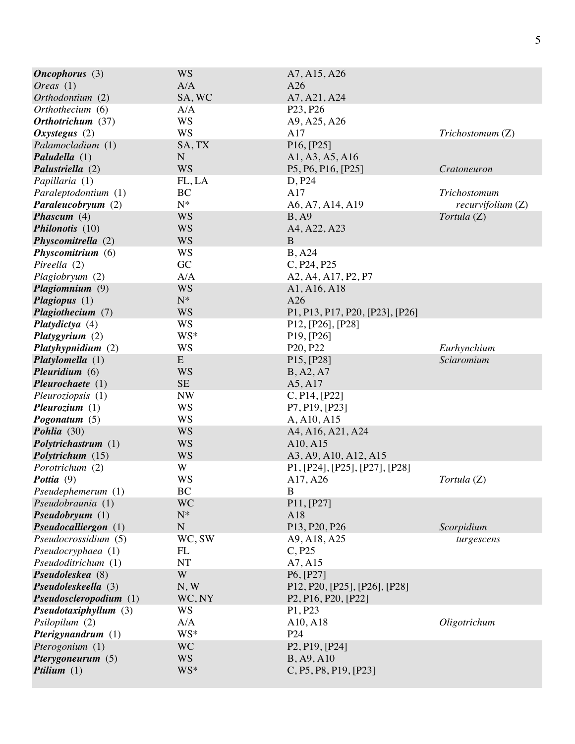| Oneophorus(3)           | <b>WS</b>   | A7, A15, A26                                                            |                   |
|-------------------------|-------------|-------------------------------------------------------------------------|-------------------|
| <i>Oreas</i> $(1)$      | A/A         | A26                                                                     |                   |
| Orthodontium (2)        | SA, WC      | A7, A21, A24                                                            |                   |
| Orthothecium (6)        | A/A         | P <sub>23</sub> , P <sub>26</sub>                                       |                   |
| Orthotrichum (37)       | <b>WS</b>   | A9, A25, A26                                                            |                   |
| Oxystegus $(2)$         | <b>WS</b>   | A17                                                                     | Trichostomum (Z)  |
| Palamocladium (1)       | SA, TX      | P16, [P25]                                                              |                   |
| Paludella (1)           | $\mathbf N$ | A1, A3, A5, A16                                                         |                   |
| Palustriella (2)        | <b>WS</b>   | P5, P6, P16, [P25]                                                      | Cratoneuron       |
| Papillaria (1)          | FL, LA      | D, P24                                                                  |                   |
| Paraleptodontium (1)    | BC          | A17                                                                     | Trichostomum      |
| Paraleucobryum (2)      | $N^*$       | A6, A7, A14, A19                                                        | recurvifolium (Z) |
| Phascum $(4)$           | <b>WS</b>   | B, A9                                                                   | Tortula (Z)       |
| Philonotis (10)         | <b>WS</b>   | A4, A22, A23                                                            |                   |
| Physcomitrella (2)      | <b>WS</b>   | $\mathbf{B}$                                                            |                   |
| Physcomitrium (6)       | <b>WS</b>   | <b>B</b> , A24                                                          |                   |
| Pireella (2)            | GC          | C, P24, P25                                                             |                   |
| Plagiobryum (2)         | A/A         | A2, A4, A17, P2, P7                                                     |                   |
| Plagiomnium (9)         | <b>WS</b>   | A1, A16, A18                                                            |                   |
| Plagiopus (1)           | $N^*$       | A26                                                                     |                   |
| Plagiothecium (7)       | <b>WS</b>   | P1, P13, P17, P20, [P23], [P26]                                         |                   |
| Platydictya (4)         | <b>WS</b>   | P12, [P26], [P28]                                                       |                   |
| Platygyrium $(2)$       | WS*         | P <sub>19</sub> , [P <sub>26</sub> ]                                    |                   |
| Platyhypnidium (2)      | WS          | P <sub>20</sub> , P <sub>22</sub>                                       | Eurhynchium       |
| Platylomella (1)        | ${\bf E}$   | P <sub>15</sub> , [P <sub>28</sub> ]                                    | Sciaromium        |
| Pleuridium $(6)$        | <b>WS</b>   | B, A2, A7                                                               |                   |
| Plewrochaete(1)         | $\rm SE$    | A5, A17                                                                 |                   |
| Pleuroziopsis (1)       | <b>NW</b>   | C, P14, [P22]                                                           |                   |
| Pleurozium $(1)$        | <b>WS</b>   | P7, P19, [P23]                                                          |                   |
| Pogonatum $(5)$         | WS          | A, A10, A15                                                             |                   |
| Pohlia (30)             | <b>WS</b>   | A4, A16, A21, A24                                                       |                   |
| Polytrichastrum (1)     | <b>WS</b>   | A10, A15                                                                |                   |
| Polytrichum (15)        | <b>WS</b>   | A3, A9, A10, A12, A15                                                   |                   |
| Porotrichum (2)         | W           | P1, [P24], [P25], [P27], [P28]                                          |                   |
| Pottia (9)              | <b>WS</b>   | A17, A26                                                                | Tortula (Z)       |
| Pseudephemerum (1)      | BC          | B                                                                       |                   |
| Pseudobraunia (1)       | <b>WC</b>   | P11, [P27]                                                              |                   |
| Pseudobryum(1)          | $N^*$       | A18                                                                     |                   |
| Pseudocalliergon (1)    | ${\bf N}$   | P <sub>13</sub> , P <sub>20</sub> , P <sub>26</sub>                     | Scorpidium        |
| Pseudocrossidium (5)    | WC, SW      | A9, A18, A25                                                            | turgescens        |
| Pseudocryphaea (1)      | FL          | C, P25                                                                  |                   |
| Pseudoditrichum (1)     | NT          | A7, A15                                                                 |                   |
| Pseudoleskea (8)        | W           | P6, [P27]                                                               |                   |
| Pseudoleskeella (3)     | N, W        | P12, P20, [P25], [P26], [P28]                                           |                   |
| Pseudosclero podium (1) | WC, NY      | P <sub>2</sub> , P <sub>16</sub> , P <sub>20</sub> , [P <sub>22</sub> ] |                   |
| Pseudotaxiphyllum (3)   | <b>WS</b>   | P1, P23                                                                 |                   |
| Psilopilum (2)          | A/A         | A10, A18                                                                | Oligotrichum      |
| Pterigynandrum (1)      | WS*         | P <sub>24</sub>                                                         |                   |
| Pterogonium (1)         | <b>WC</b>   | P <sub>2</sub> , P <sub>19</sub> , [P <sub>24</sub> ]                   |                   |
| Pterygoneurum (5)       | <b>WS</b>   | B, A9, A10                                                              |                   |
| Ptilium $(1)$           | WS*         | C, P5, P8, P19, [P23]                                                   |                   |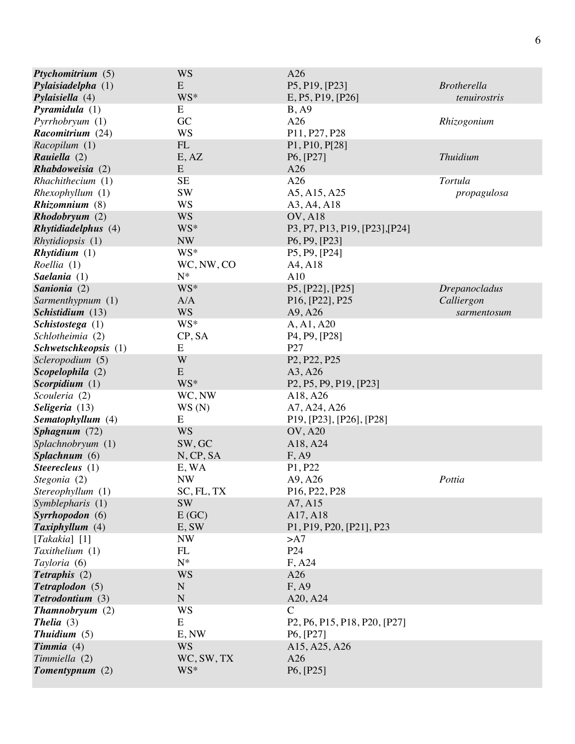| Ptychomitrium (5)          | <b>WS</b>  | A26                                                                                                        |                      |
|----------------------------|------------|------------------------------------------------------------------------------------------------------------|----------------------|
| Pylaisiadelpha (1)         | E          | P5, P19, [P23]                                                                                             | <b>Brotherella</b>   |
| Pylaisiella $(4)$          | WS*        | E, P5, P19, [P26]                                                                                          | tenuirostris         |
| Pyramidula $(1)$           | E          | B, A9                                                                                                      |                      |
| Pyrrhobryum(1)             | GC         | A26                                                                                                        | Rhizogonium          |
| Racomitrium (24)           | <b>WS</b>  | P11, P27, P28                                                                                              |                      |
| Racopilum (1)              | FL         | P1, P10, P[28]                                                                                             |                      |
| Rauiella (2)               | E, AZ      | P6, [P27]                                                                                                  | <b>Thuidium</b>      |
| Rhabdoweisia (2)           | E          | A26                                                                                                        |                      |
| Rhachithecium (1)          | <b>SE</b>  | A26                                                                                                        | Tortula              |
| Rhexophyllum(1)            | <b>SW</b>  | A5, A15, A25                                                                                               | propagulosa          |
| Rhizomnium (8)             | <b>WS</b>  | A3, A4, A18                                                                                                |                      |
| Rhodobryum(2)              | <b>WS</b>  | <b>OV, A18</b>                                                                                             |                      |
| <b>Rhytidiadelphus</b> (4) | WS*        | P3, P7, P13, P19, [P23], [P24]                                                                             |                      |
| Rhytidiopsis (1)           | <b>NW</b>  | P6, P9, [P23]                                                                                              |                      |
| Rhytidium (1)              | WS*        | P5, P9, [P24]                                                                                              |                      |
| Roellia (1)                | WC, NW, CO | A4, A18                                                                                                    |                      |
| Saelania $(1)$             | $N^*$      | A10                                                                                                        |                      |
| Sanionia (2)               | WS*        | P5, [P22], [P25]                                                                                           | <b>Drepanocladus</b> |
| Sarmenthypnum (1)          | A/A        | P <sub>16</sub> , [P <sub>22</sub> ], P <sub>25</sub>                                                      | Calliergon           |
| Schistidium (13)           | <b>WS</b>  | A9, A26                                                                                                    | sarmentosum          |
| Schistostega (1)           | WS*        | A, A1, A20                                                                                                 |                      |
| Schlotheimia (2)           | CP, SA     | P <sub>4</sub> , P <sub>9</sub> , [P <sub>28</sub> ]                                                       |                      |
| Schwetschkeopsis (1)       | E          | P27                                                                                                        |                      |
| Scleropodium (5)           | W          | P <sub>2</sub> , P <sub>22</sub> , P <sub>25</sub>                                                         |                      |
| Scopelophila (2)           | ${\bf E}$  | A3, A26                                                                                                    |                      |
| Scorpidium (1)             | WS*        | P <sub>2</sub> , P <sub>5</sub> , P <sub>9</sub> , P <sub>19</sub> , [P <sub>23</sub> ]                    |                      |
| Scouleria (2)              | WC, NW     | A18, A26                                                                                                   |                      |
| Seligeria (13)             | WS(N)      | A7, A24, A26                                                                                               |                      |
| Sematophyllum (4)          | E          | P19, [P23], [P26], [P28]                                                                                   |                      |
| Sphagnum (72)              | <b>WS</b>  | <b>OV, A20</b>                                                                                             |                      |
| Splachnobryum (1)          | SW, GC     | A18, A24                                                                                                   |                      |
| Splachnum (6)              | N, CP, SA  | F, A9                                                                                                      |                      |
| Steerecleus $(1)$          | E, WA      | P1, P22                                                                                                    |                      |
| Stegonia (2)               | <b>NW</b>  | A9, A26                                                                                                    | Pottia               |
| Stereophyllum (1)          | SC, FL, TX | P16, P22, P28                                                                                              |                      |
| Symblepharis (1)           | <b>SW</b>  | A7, A15                                                                                                    |                      |
| Syrrhopodon (6)            | E(GC)      | A17, A18                                                                                                   |                      |
| Taxiphyllum (4)            | E, SW      | P1, P19, P20, [P21], P23                                                                                   |                      |
| [Takakia] $[1]$            | <b>NW</b>  | >A7                                                                                                        |                      |
| Taxithelium (1)            | FL         | P <sub>24</sub>                                                                                            |                      |
| Tayloria (6)               | $N^*$      | F, A24                                                                                                     |                      |
| Tetraphis (2)              | <b>WS</b>  | A26                                                                                                        |                      |
| Tetraplodon (5)            | ${\bf N}$  | F, A9                                                                                                      |                      |
| Tetrodontium (3)           | ${\bf N}$  | A20, A24                                                                                                   |                      |
| Thamnobryum(2)             | <b>WS</b>  | C                                                                                                          |                      |
| <b>Thelia</b> $(3)$        | E          | P <sub>2</sub> , P <sub>6</sub> , P <sub>15</sub> , P <sub>18</sub> , P <sub>20</sub> , [P <sub>27</sub> ] |                      |
| Thuidium $(5)$             | E, NW      | P <sub>6</sub> , [P <sub>27</sub> ]                                                                        |                      |
| $Timmia (4)$               | <b>WS</b>  | A15, A25, A26                                                                                              |                      |
| Timmiella (2)              | WC, SW, TX | A26                                                                                                        |                      |
| Tomentypnum $(2)$          | WS*        | P6, [P25]                                                                                                  |                      |
|                            |            |                                                                                                            |                      |